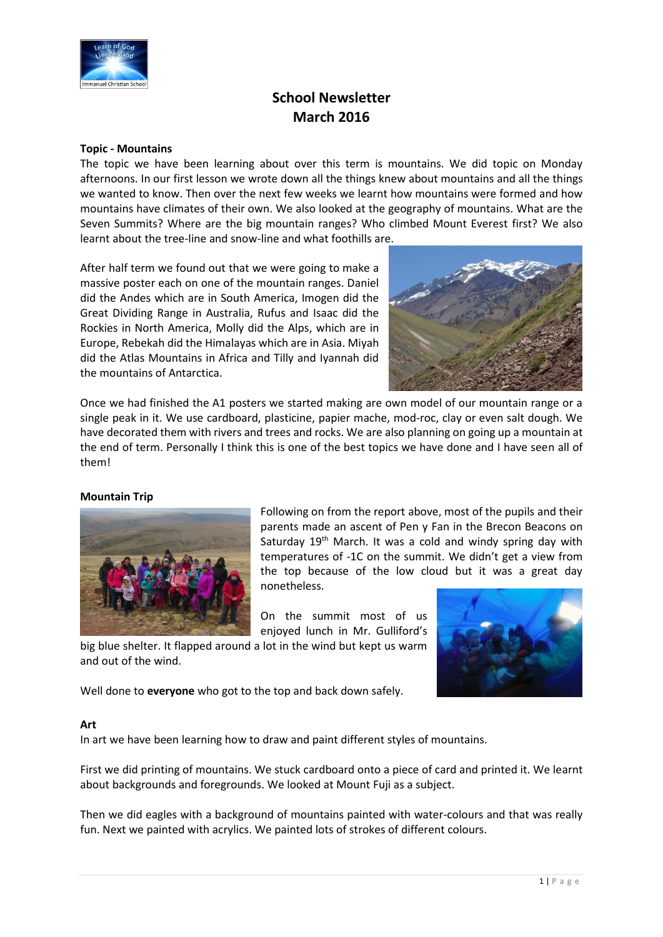

# **School Newsletter March 2016**

### **Topic - Mountains**

The topic we have been learning about over this term is mountains. We did topic on Monday afternoons. In our first lesson we wrote down all the things knew about mountains and all the things we wanted to know. Then over the next few weeks we learnt how mountains were formed and how mountains have climates of their own. We also looked at the geography of mountains. What are the Seven Summits? Where are the big mountain ranges? Who climbed Mount Everest first? We also learnt about the tree-line and snow-line and what foothills are.

After half term we found out that we were going to make a massive poster each on one of the mountain ranges. Daniel did the Andes which are in South America, Imogen did the Great Dividing Range in Australia, Rufus and Isaac did the Rockies in North America, Molly did the Alps, which are in Europe, Rebekah did the Himalayas which are in Asia. Miyah did the Atlas Mountains in Africa and Tilly and Iyannah did the mountains of Antarctica.



Once we had finished the A1 posters we started making are own model of our mountain range or a single peak in it. We use cardboard, plasticine, papier mache, mod-roc, clay or even salt dough. We have decorated them with rivers and trees and rocks. We are also planning on going up a mountain at the end of term. Personally I think this is one of the best topics we have done and I have seen all of them!

# **Mountain Trip**



Following on from the report above, most of the pupils and their parents made an ascent of Pen y Fan in the Brecon Beacons on Saturday 19<sup>th</sup> March. It was a cold and windy spring day with temperatures of -1C on the summit. We didn't get a view from the top because of the low cloud but it was a great day nonetheless.

On the summit most of us enjoyed lunch in Mr. Gulliford's



big blue shelter. It flapped around a lot in the wind but kept us warm and out of the wind.

Well done to **everyone** who got to the top and back down safely.

# **Art**

In art we have been learning how to draw and paint different styles of mountains.

First we did printing of mountains. We stuck cardboard onto a piece of card and printed it. We learnt about backgrounds and foregrounds. We looked at Mount Fuji as a subject.

Then we did eagles with a background of mountains painted with water-colours and that was really fun. Next we painted with acrylics. We painted lots of strokes of different colours.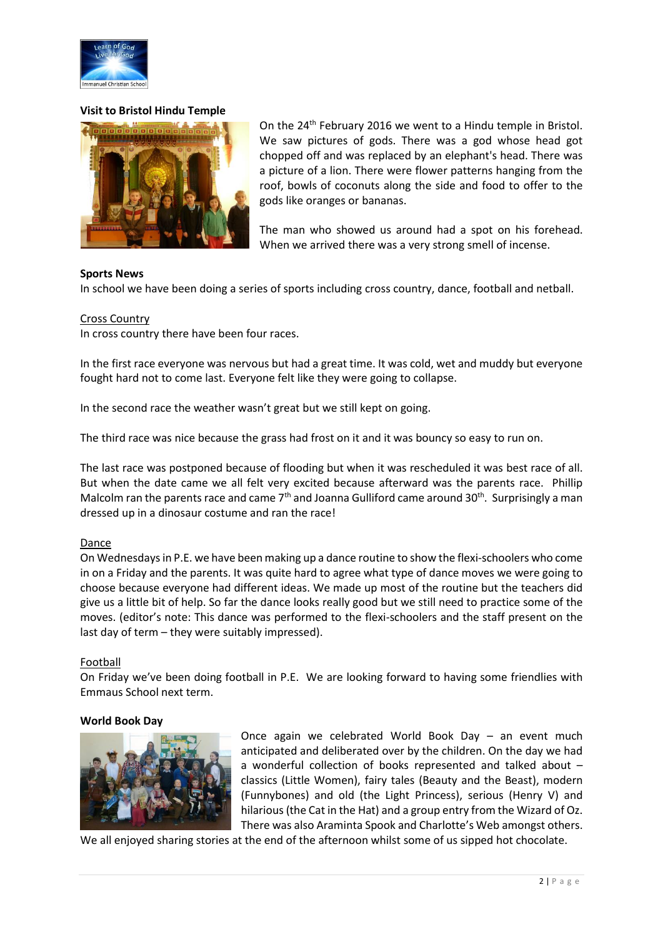

# **Visit to Bristol Hindu Temple**



On the 24<sup>th</sup> February 2016 we went to a Hindu temple in Bristol. We saw pictures of gods. There was a god whose head got chopped off and was replaced by an elephant's head. There was a picture of a lion. There were flower patterns hanging from the roof, bowls of coconuts along the side and food to offer to the gods like oranges or bananas.

The man who showed us around had a spot on his forehead. When we arrived there was a very strong smell of incense.

#### **Sports News**

In school we have been doing a series of sports including cross country, dance, football and netball.

#### Cross Country

In cross country there have been four races.

In the first race everyone was nervous but had a great time. It was cold, wet and muddy but everyone fought hard not to come last. Everyone felt like they were going to collapse.

In the second race the weather wasn't great but we still kept on going.

The third race was nice because the grass had frost on it and it was bouncy so easy to run on.

The last race was postponed because of flooding but when it was rescheduled it was best race of all. But when the date came we all felt very excited because afterward was the parents race. Phillip Malcolm ran the parents race and came  $7<sup>th</sup>$  and Joanna Gulliford came around 30<sup>th</sup>. Surprisingly a man dressed up in a dinosaur costume and ran the race!

#### Dance

On Wednesdays in P.E. we have been making up a dance routine to show the flexi-schoolers who come in on a Friday and the parents. It was quite hard to agree what type of dance moves we were going to choose because everyone had different ideas. We made up most of the routine but the teachers did give us a little bit of help. So far the dance looks really good but we still need to practice some of the moves. (editor's note: This dance was performed to the flexi-schoolers and the staff present on the last day of term – they were suitably impressed).

#### **Football**

On Friday we've been doing football in P.E. We are looking forward to having some friendlies with Emmaus School next term.

#### **World Book Day**



Once again we celebrated World Book Day – an event much anticipated and deliberated over by the children. On the day we had a wonderful collection of books represented and talked about – classics (Little Women), fairy tales (Beauty and the Beast), modern (Funnybones) and old (the Light Princess), serious (Henry V) and hilarious (the Cat in the Hat) and a group entry from the Wizard of Oz. There was also Araminta Spook and Charlotte's Web amongst others.

We all enjoyed sharing stories at the end of the afternoon whilst some of us sipped hot chocolate.